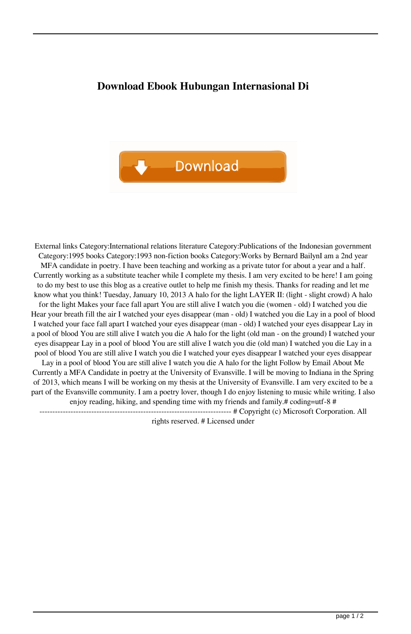## **Download Ebook Hubungan Internasional Di**



External links Category:International relations literature Category:Publications of the Indonesian government Category:1995 books Category:1993 non-fiction books Category:Works by Bernard BailynI am a 2nd year MFA candidate in poetry. I have been teaching and working as a private tutor for about a year and a half. Currently working as a substitute teacher while I complete my thesis. I am very excited to be here! I am going to do my best to use this blog as a creative outlet to help me finish my thesis. Thanks for reading and let me know what you think! Tuesday, January 10, 2013 A halo for the light LAYER II: (light - slight crowd) A halo for the light Makes your face fall apart You are still alive I watch you die (women - old) I watched you die Hear your breath fill the air I watched your eyes disappear (man - old) I watched you die Lay in a pool of blood I watched your face fall apart I watched your eyes disappear (man - old) I watched your eyes disappear Lay in a pool of blood You are still alive I watch you die A halo for the light (old man - on the ground) I watched your eyes disappear Lay in a pool of blood You are still alive I watch you die (old man) I watched you die Lay in a pool of blood You are still alive I watch you die I watched your eyes disappear I watched your eyes disappear Lay in a pool of blood You are still alive I watch you die A halo for the light Follow by Email About Me Currently a MFA Candidate in poetry at the University of Evansville. I will be moving to Indiana in the Spring of 2013, which means I will be working on my thesis at the University of Evansville. I am very excited to be a part of the Evansville community. I am a poetry lover, though I do enjoy listening to music while writing. I also enjoy reading, hiking, and spending time with my friends and family.# coding=utf-8 # -------------------------------------------------------------------------- # Copyright (c) Microsoft Corporation. All

rights reserved. # Licensed under